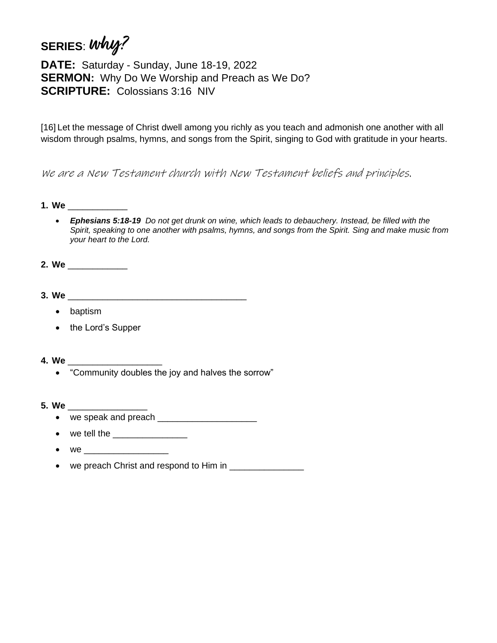## **SERIES**: **why?**

**DATE:** Saturday - Sunday, June 18-19, 2022 **SERMON:** Why Do We Worship and Preach as We Do? **SCRIPTURE:** Colossians 3:16 NIV

[16] Let the message of Christ dwell among you richly as you teach and admonish one another with all wisdom through psalms, hymns, and songs from the Spirit, singing to God with gratitude in your hearts.

We are a New Testament church with New Testament beliefs and principles.

- **1. We** \_\_\_\_\_\_\_\_\_\_\_\_
	- *Ephesians 5:18-19 Do not get drunk on wine, which leads to debauchery. Instead, be filled with the Spirit, speaking to one another with psalms, hymns, and songs from the Spirit. Sing and make music from your heart to the Lord.*
- **2. We** \_\_\_\_\_\_\_\_\_\_\_\_
- **3. We** \_\_\_\_\_\_\_\_\_\_\_\_\_\_\_\_\_\_\_\_\_\_\_\_\_\_\_\_\_\_\_\_\_\_\_\_
	- baptism
	- the Lord's Supper
- **4. We** \_\_\_\_\_\_\_\_\_\_\_\_\_\_\_\_\_\_\_
	- "Community doubles the joy and halves the sorrow"
- **5. We** \_\_\_\_\_\_\_\_\_\_\_\_\_\_\_\_
	- we speak and preach
	- $\bullet$  we tell the
	- $\bullet$  we
	- we preach Christ and respond to Him in \_\_\_\_\_\_\_\_\_\_\_\_\_\_\_